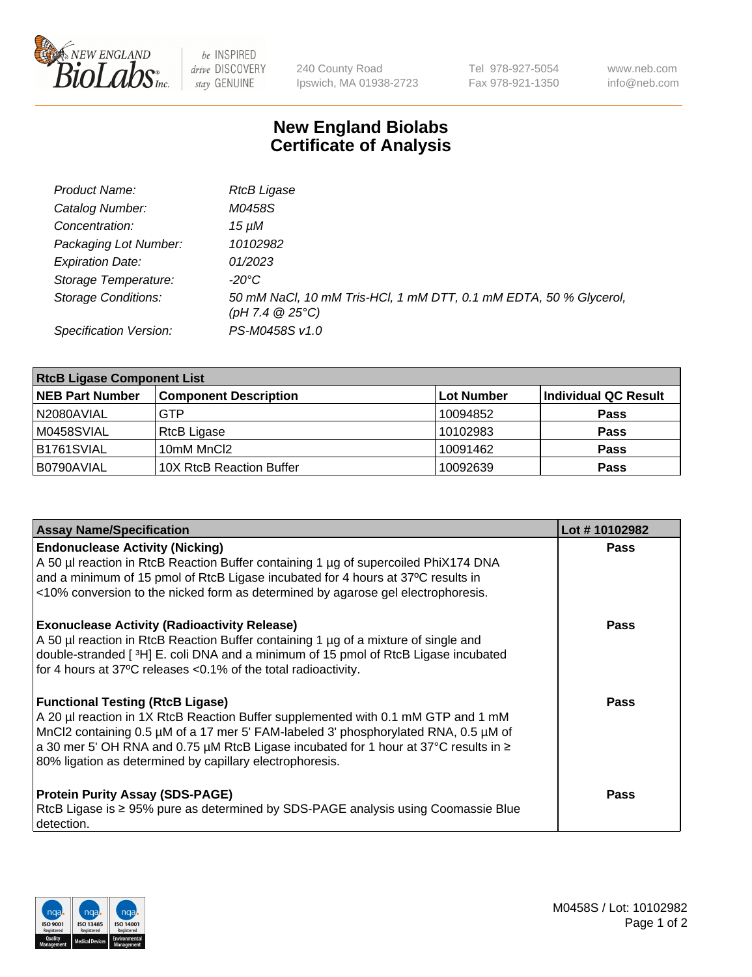

 $be$  INSPIRED drive DISCOVERY stay GENUINE

240 County Road Ipswich, MA 01938-2723 Tel 978-927-5054 Fax 978-921-1350 www.neb.com info@neb.com

## **New England Biolabs Certificate of Analysis**

| Product Name:                 | <b>RtcB Ligase</b>                                                                              |
|-------------------------------|-------------------------------------------------------------------------------------------------|
| Catalog Number:               | M0458S                                                                                          |
| Concentration:                | 15 uM                                                                                           |
| Packaging Lot Number:         | 10102982                                                                                        |
| <b>Expiration Date:</b>       | 01/2023                                                                                         |
| Storage Temperature:          | -20°C                                                                                           |
| <b>Storage Conditions:</b>    | 50 mM NaCl, 10 mM Tris-HCl, 1 mM DTT, 0.1 mM EDTA, 50 % Glycerol,<br>$(pH 7.4 \ @ 25^{\circ}C)$ |
| <b>Specification Version:</b> | PS-M0458S v1.0                                                                                  |

| <b>RtcB Ligase Component List</b> |                              |                   |                             |  |
|-----------------------------------|------------------------------|-------------------|-----------------------------|--|
| <b>NEB Part Number</b>            | <b>Component Description</b> | <b>Lot Number</b> | <b>Individual QC Result</b> |  |
| N2080AVIAL                        | <b>GTP</b>                   | 10094852          | <b>Pass</b>                 |  |
| M0458SVIAL                        | RtcB Ligase                  | 10102983          | <b>Pass</b>                 |  |
| B1761SVIAL                        | 10mM MnCl2                   | 10091462          | <b>Pass</b>                 |  |
| B0790AVIAL                        | 10X RtcB Reaction Buffer     | 10092639          | <b>Pass</b>                 |  |

| <b>Assay Name/Specification</b>                                                                                                                                                                                                                                                                                                                                         | Lot #10102982 |
|-------------------------------------------------------------------------------------------------------------------------------------------------------------------------------------------------------------------------------------------------------------------------------------------------------------------------------------------------------------------------|---------------|
| <b>Endonuclease Activity (Nicking)</b><br>A 50 µl reaction in RtcB Reaction Buffer containing 1 µg of supercoiled PhiX174 DNA<br>and a minimum of 15 pmol of RtcB Ligase incubated for 4 hours at 37°C results in<br><10% conversion to the nicked form as determined by agarose gel electrophoresis.                                                                   | <b>Pass</b>   |
| <b>Exonuclease Activity (Radioactivity Release)</b><br>A 50 µl reaction in RtcB Reaction Buffer containing 1 µg of a mixture of single and<br>double-stranded [3H] E. coli DNA and a minimum of 15 pmol of RtcB Ligase incubated<br>for 4 hours at 37°C releases <0.1% of the total radioactivity.                                                                      | Pass          |
| <b>Functional Testing (RtcB Ligase)</b><br>A 20 µl reaction in 1X RtcB Reaction Buffer supplemented with 0.1 mM GTP and 1 mM<br>MnCl2 containing 0.5 µM of a 17 mer 5' FAM-labeled 3' phosphorylated RNA, 0.5 µM of<br>a 30 mer 5' OH RNA and 0.75 µM RtcB Ligase incubated for 1 hour at 37°C results in ≥<br>80% ligation as determined by capillary electrophoresis. | <b>Pass</b>   |
| <b>Protein Purity Assay (SDS-PAGE)</b><br>RtcB Ligase is ≥ 95% pure as determined by SDS-PAGE analysis using Coomassie Blue<br>detection.                                                                                                                                                                                                                               | Pass          |